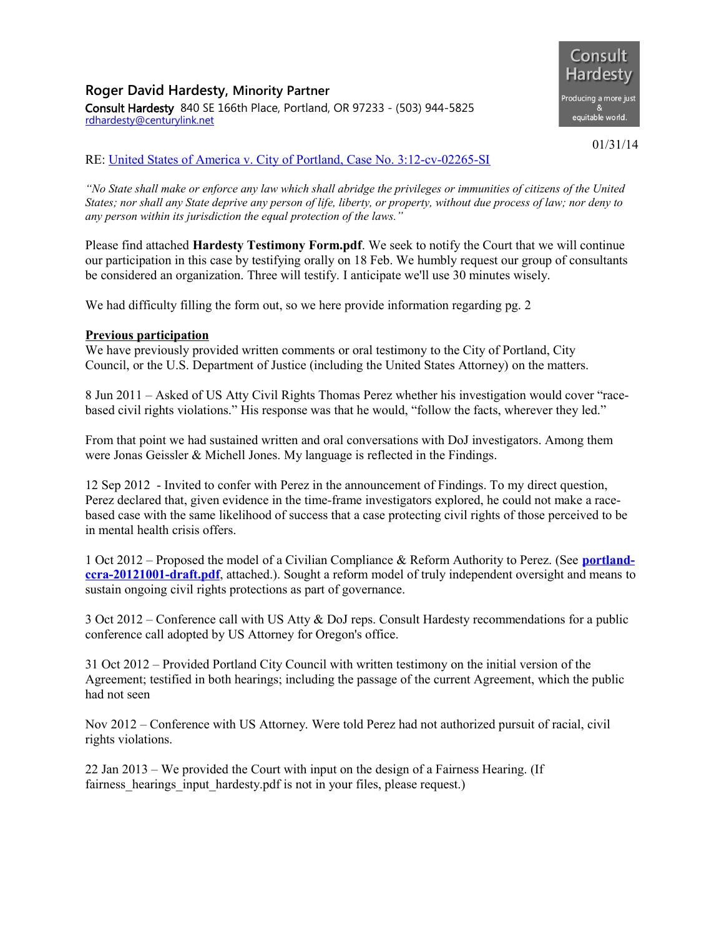## **Roger David Hardesty, Minority Partner** Consult Hardesty 840 SE 166th Place, Portland, OR 97233 - (503) 944-5825 [rdhardesty@centurylink.net](mailto:rdhardesty@centurylink.net)



01/31/14

## RE: [United States of America v. City of Portland, Case No. 3:12-cv-02265-SI](http://www.consulthardesty.com/wp-content/uploads/2013/12/usdojpdxsettlementagreement.pdf)

*"No State shall make or enforce any law which shall abridge the privileges or immunities of citizens of the United States; nor shall any State deprive any person of life, liberty, or property, without due process of law; nor deny to any person within its jurisdiction the equal protection of the laws."*

Please find attached **Hardesty Testimony Form.pdf**. We seek to notify the Court that we will continue our participation in this case by testifying orally on 18 Feb. We humbly request our group of consultants be considered an organization. Three will testify. I anticipate we'll use 30 minutes wisely.

We had difficulty filling the form out, so we here provide information regarding pg. 2

## **Previous participation**

We have previously provided written comments or oral testimony to the City of Portland, City Council, or the U.S. Department of Justice (including the United States Attorney) on the matters.

8 Jun 2011 – Asked of US Atty Civil Rights Thomas Perez whether his investigation would cover "racebased civil rights violations." His response was that he would, "follow the facts, wherever they led."

From that point we had sustained written and oral conversations with DoJ investigators. Among them were Jonas Geissler & Michell Jones. My language is reflected in the Findings.

12 Sep 2012 - Invited to confer with Perez in the announcement of Findings. To my direct question, Perez declared that, given evidence in the time-frame investigators explored, he could not make a racebased case with the same likelihood of success that a case protecting civil rights of those perceived to be in mental health crisis offers.

1 Oct 2012 – Proposed the model of a Civilian Compliance & Reform Authority to Perez. (See **[portland](http://www.consulthardesty.com/wp-content/uploads/2014/02/portland-ccra-20121001-draft.pdf)[ccra-20121001-draft.pdf](http://www.consulthardesty.com/wp-content/uploads/2014/02/portland-ccra-20121001-draft.pdf)**, attached.). Sought a reform model of truly independent oversight and means to sustain ongoing civil rights protections as part of governance.

3 Oct 2012 – Conference call with US Atty & DoJ reps. Consult Hardesty recommendations for a public conference call adopted by US Attorney for Oregon's office.

31 Oct 2012 – Provided Portland City Council with written testimony on the initial version of the Agreement; testified in both hearings; including the passage of the current Agreement, which the public had not seen

Nov 2012 – Conference with US Attorney. Were told Perez had not authorized pursuit of racial, civil rights violations.

22 Jan 2013 – We provided the Court with input on the design of a Fairness Hearing. (If fairness hearings input hardesty.pdf is not in your files, please request.)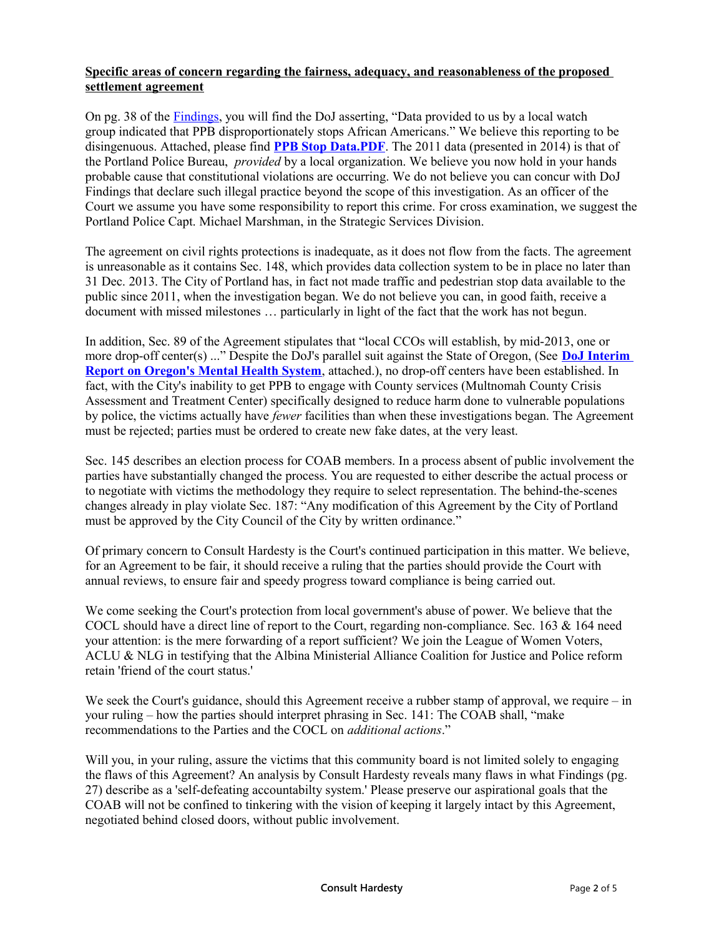## **Specific areas of concern regarding the fairness, adequacy, and reasonableness of the proposed settlement agreement**

On pg. 38 of the [Findings,](http://www.justice.gov/crt/about/spl/documents/ppb_findings_9-12-12.pdf) you will find the DoJ asserting, "Data provided to us by a local watch group indicated that PPB disproportionately stops African Americans." We believe this reporting to be disingenuous. Attached, please find **[PPB Stop Data.PDF](http://www.consulthardesty.com/wp-content/uploads/2014/02/PPB-Stop-Data.pdf)**. The 2011 data (presented in 2014) is that of the Portland Police Bureau, *provided* by a local organization. We believe you now hold in your hands probable cause that constitutional violations are occurring. We do not believe you can concur with DoJ Findings that declare such illegal practice beyond the scope of this investigation. As an officer of the Court we assume you have some responsibility to report this crime. For cross examination, we suggest the Portland Police Capt. Michael Marshman, in the Strategic Services Division.

The agreement on civil rights protections is inadequate, as it does not flow from the facts. The agreement is unreasonable as it contains Sec. 148, which provides data collection system to be in place no later than 31 Dec. 2013. The City of Portland has, in fact not made traffic and pedestrian stop data available to the public since 2011, when the investigation began. We do not believe you can, in good faith, receive a document with missed milestones … particularly in light of the fact that the work has not begun.

In addition, Sec. 89 of the Agreement stipulates that "local CCOs will establish, by mid-2013, one or more drop-off center(s) ..." Despite the DoJ's parallel suit against the State of Oregon, (See **[DoJ Interim](http://www.consulthardesty.com/wp-content/uploads/2014/02/Oregon-MH-Cover-Letter-Interim-Report-Final-1-2-14-1-copy.pdf) [Report on Oregon's Mental Health System](http://www.consulthardesty.com/wp-content/uploads/2014/02/Oregon-MH-Cover-Letter-Interim-Report-Final-1-2-14-1-copy.pdf)**, attached.), no drop-off centers have been established. In fact, with the City's inability to get PPB to engage with County services (Multnomah County Crisis Assessment and Treatment Center) specifically designed to reduce harm done to vulnerable populations by police, the victims actually have *fewer* facilities than when these investigations began. The Agreement must be rejected; parties must be ordered to create new fake dates, at the very least.

Sec. 145 describes an election process for COAB members. In a process absent of public involvement the parties have substantially changed the process. You are requested to either describe the actual process or to negotiate with victims the methodology they require to select representation. The behind-the-scenes changes already in play violate Sec. 187: "Any modification of this Agreement by the City of Portland must be approved by the City Council of the City by written ordinance."

Of primary concern to Consult Hardesty is the Court's continued participation in this matter. We believe, for an Agreement to be fair, it should receive a ruling that the parties should provide the Court with annual reviews, to ensure fair and speedy progress toward compliance is being carried out.

We come seeking the Court's protection from local government's abuse of power. We believe that the COCL should have a direct line of report to the Court, regarding non-compliance. Sec. 163 & 164 need your attention: is the mere forwarding of a report sufficient? We join the League of Women Voters, ACLU & NLG in testifying that the Albina Ministerial Alliance Coalition for Justice and Police reform retain 'friend of the court status.'

We seek the Court's guidance, should this Agreement receive a rubber stamp of approval, we require – in your ruling – how the parties should interpret phrasing in Sec. 141: The COAB shall, "make recommendations to the Parties and the COCL on *additional actions*."

Will you, in your ruling, assure the victims that this community board is not limited solely to engaging the flaws of this Agreement? An analysis by Consult Hardesty reveals many flaws in what Findings (pg. 27) describe as a 'self-defeating accountabilty system.' Please preserve our aspirational goals that the COAB will not be confined to tinkering with the vision of keeping it largely intact by this Agreement, negotiated behind closed doors, without public involvement.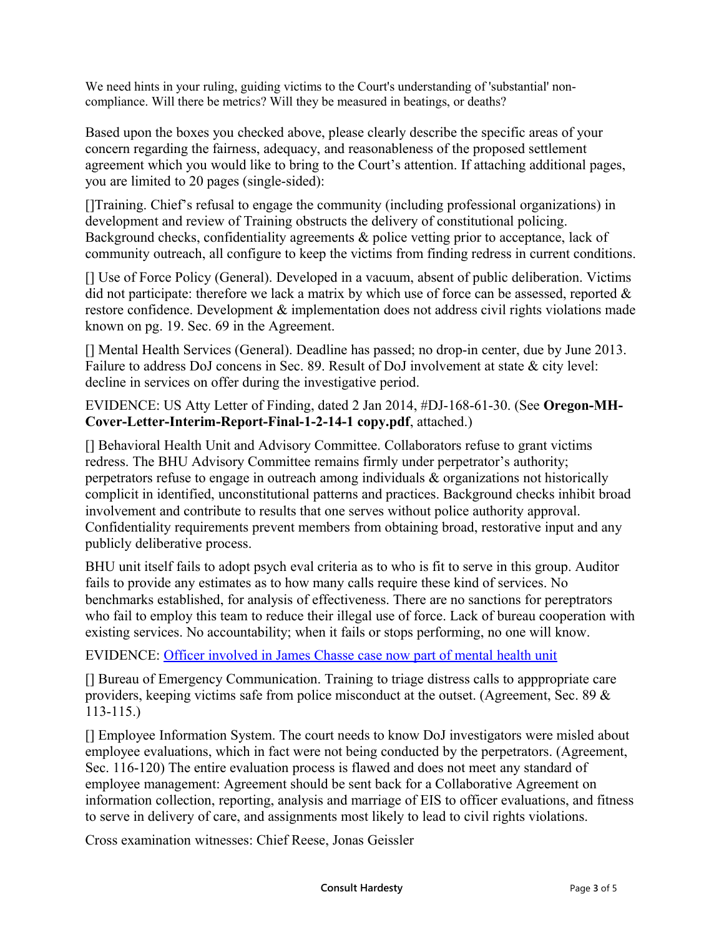We need hints in your ruling, guiding victims to the Court's understanding of 'substantial' noncompliance. Will there be metrics? Will they be measured in beatings, or deaths?

Based upon the boxes you checked above, please clearly describe the specific areas of your concern regarding the fairness, adequacy, and reasonableness of the proposed settlement agreement which you would like to bring to the Court's attention. If attaching additional pages, you are limited to 20 pages (single-sided):

[]Training. Chief's refusal to engage the community (including professional organizations) in development and review of Training obstructs the delivery of constitutional policing. Background checks, confidentiality agreements & police vetting prior to acceptance, lack of community outreach, all configure to keep the victims from finding redress in current conditions.

[] Use of Force Policy (General). Developed in a vacuum, absent of public deliberation. Victims did not participate: therefore we lack a matrix by which use of force can be assessed, reported  $\&$ restore confidence. Development & implementation does not address civil rights violations made known on pg. 19. Sec. 69 in the Agreement.

[] Mental Health Services (General). Deadline has passed; no drop-in center, due by June 2013. Failure to address DoJ concens in Sec. 89. Result of DoJ involvement at state & city level: decline in services on offer during the investigative period.

EVIDENCE: US Atty Letter of Finding, dated 2 Jan 2014, #DJ-168-61-30. (See **Oregon-MH-Cover-Letter-Interim-Report-Final-1-2-14-1 copy.pdf**, attached.)

[] Behavioral Health Unit and Advisory Committee. Collaborators refuse to grant victims redress. The BHU Advisory Committee remains firmly under perpetrator's authority; perpetrators refuse to engage in outreach among individuals & organizations not historically complicit in identified, unconstitutional patterns and practices. Background checks inhibit broad involvement and contribute to results that one serves without police authority approval. Confidentiality requirements prevent members from obtaining broad, restorative input and any publicly deliberative process.

BHU unit itself fails to adopt psych eval criteria as to who is fit to serve in this group. Auditor fails to provide any estimates as to how many calls require these kind of services. No benchmarks established, for analysis of effectiveness. There are no sanctions for pereptrators who fail to employ this team to reduce their illegal use of force. Lack of bureau cooperation with existing services. No accountability; when it fails or stops performing, no one will know.

EVIDENCE: [Officer involved in James Chasse case now part of mental health unit](http://www.oregonlive.com/portland/index.ssf/2013/04/portland_officer_involved_in_j.html)

[] Bureau of Emergency Communication. Training to triage distress calls to apppropriate care providers, keeping victims safe from police misconduct at the outset. (Agreement, Sec. 89 & 113-115.)

[] Employee Information System. The court needs to know DoJ investigators were misled about employee evaluations, which in fact were not being conducted by the perpetrators. (Agreement, Sec. 116-120) The entire evaluation process is flawed and does not meet any standard of employee management: Agreement should be sent back for a Collaborative Agreement on information collection, reporting, analysis and marriage of EIS to officer evaluations, and fitness to serve in delivery of care, and assignments most likely to lead to civil rights violations.

Cross examination witnesses: Chief Reese, Jonas Geissler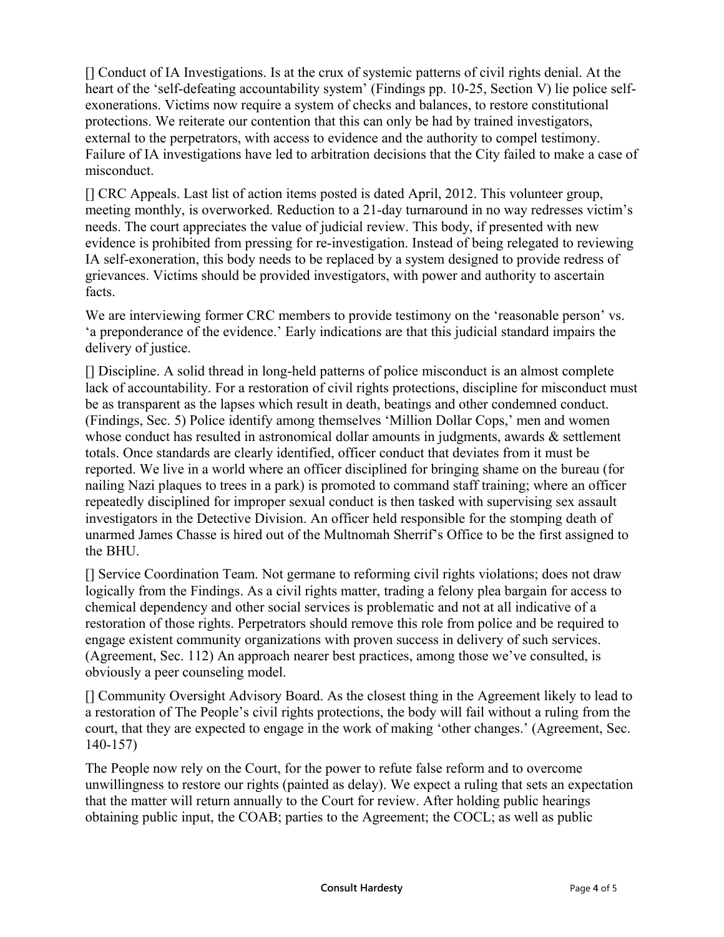[] Conduct of IA Investigations. Is at the crux of systemic patterns of civil rights denial. At the heart of the 'self-defeating accountability system' (Findings pp. 10-25, Section V) lie police selfexonerations. Victims now require a system of checks and balances, to restore constitutional protections. We reiterate our contention that this can only be had by trained investigators, external to the perpetrators, with access to evidence and the authority to compel testimony. Failure of IA investigations have led to arbitration decisions that the City failed to make a case of misconduct.

[] CRC Appeals. Last list of action items posted is dated April, 2012. This volunteer group, meeting monthly, is overworked. Reduction to a 21-day turnaround in no way redresses victim's needs. The court appreciates the value of judicial review. This body, if presented with new evidence is prohibited from pressing for re-investigation. Instead of being relegated to reviewing IA self-exoneration, this body needs to be replaced by a system designed to provide redress of grievances. Victims should be provided investigators, with power and authority to ascertain facts.

We are interviewing former CRC members to provide testimony on the 'reasonable person' vs. 'a preponderance of the evidence.' Early indications are that this judicial standard impairs the delivery of justice.

[] Discipline. A solid thread in long-held patterns of police misconduct is an almost complete lack of accountability. For a restoration of civil rights protections, discipline for misconduct must be as transparent as the lapses which result in death, beatings and other condemned conduct. (Findings, Sec. 5) Police identify among themselves 'Million Dollar Cops,' men and women whose conduct has resulted in astronomical dollar amounts in judgments, awards  $\&$  settlement totals. Once standards are clearly identified, officer conduct that deviates from it must be reported. We live in a world where an officer disciplined for bringing shame on the bureau (for nailing Nazi plaques to trees in a park) is promoted to command staff training; where an officer repeatedly disciplined for improper sexual conduct is then tasked with supervising sex assault investigators in the Detective Division. An officer held responsible for the stomping death of unarmed James Chasse is hired out of the Multnomah Sherrif's Office to be the first assigned to the BHU.

[] Service Coordination Team. Not germane to reforming civil rights violations; does not draw logically from the Findings. As a civil rights matter, trading a felony plea bargain for access to chemical dependency and other social services is problematic and not at all indicative of a restoration of those rights. Perpetrators should remove this role from police and be required to engage existent community organizations with proven success in delivery of such services. (Agreement, Sec. 112) An approach nearer best practices, among those we've consulted, is obviously a peer counseling model.

[] Community Oversight Advisory Board. As the closest thing in the Agreement likely to lead to a restoration of The People's civil rights protections, the body will fail without a ruling from the court, that they are expected to engage in the work of making 'other changes.' (Agreement, Sec. 140-157)

The People now rely on the Court, for the power to refute false reform and to overcome unwillingness to restore our rights (painted as delay). We expect a ruling that sets an expectation that the matter will return annually to the Court for review. After holding public hearings obtaining public input, the COAB; parties to the Agreement; the COCL; as well as public